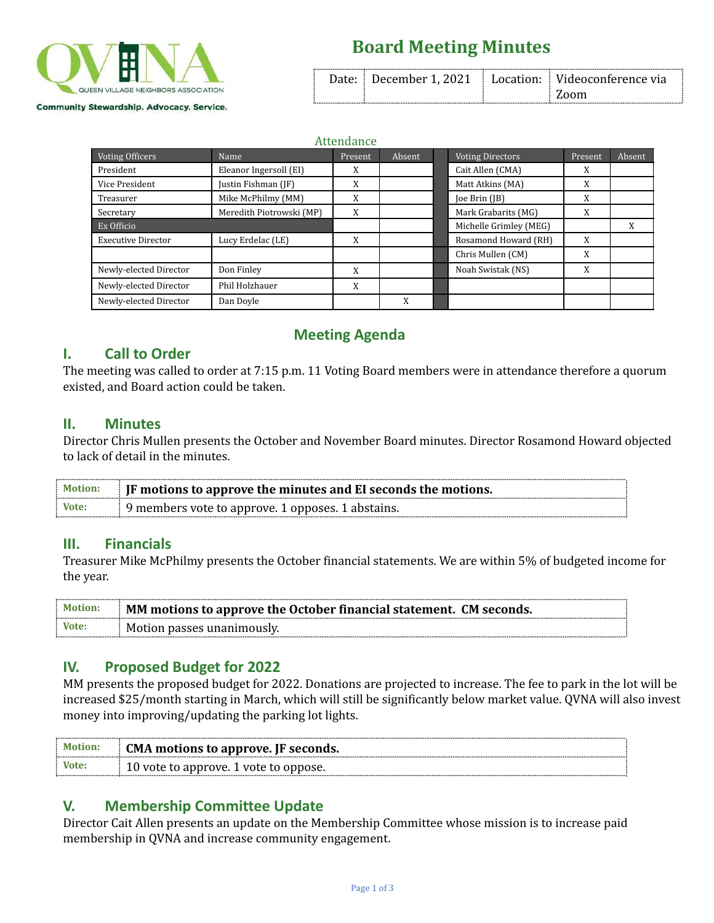

# **Board Meeting Minutes**

|  | Date:   December 1, 2021   Location:   Videoconference via |
|--|------------------------------------------------------------|
|  | $\pm$ Zoom                                                 |

Attendance

| Voting Officers           | Name                     | Present | Absent | <b>Voting Directors</b> | Present | Absent |
|---------------------------|--------------------------|---------|--------|-------------------------|---------|--------|
| President                 | Eleanor Ingersoll (EI)   | X       |        | Cait Allen (CMA)        | X       |        |
| Vice President            | Justin Fishman (JF)      | X       |        | Matt Atkins (MA)        | X       |        |
| Treasurer                 | Mike McPhilmy (MM)       | X       |        | $[0e \text{ Brin}([B)]$ | X       |        |
| Secretary                 | Meredith Piotrowski (MP) | X       |        | Mark Grabarits (MG)     | X       |        |
| Ex Officio                |                          |         |        | Michelle Grimley (MEG)  |         | X      |
| <b>Executive Director</b> | Lucy Erdelac (LE)        | X       |        | Rosamond Howard (RH)    | X       |        |
|                           |                          |         |        | Chris Mullen (CM)       | X       |        |
| Newly-elected Director    | Don Finley               | X       |        | Noah Swistak (NS)       | X       |        |
| Newly-elected Director    | Phil Holzhauer           | X       |        |                         |         |        |
| Newly-elected Director    | Dan Doyle                |         | X      |                         |         |        |

### **Meeting Agenda**

## **I. Call to Order**

The meeting was called to order at 7:15 p.m. 11 Voting Board members were in attendance therefore a quorum existed, and Board action could be taken.

#### **II. Minutes**

Director Chris Mullen presents the October and November Board minutes. Director Rosamond Howard objected to lack of detail in the minutes.

| Motion: | <b>If motions to approve the minutes and EI seconds the motions.</b> |  |
|---------|----------------------------------------------------------------------|--|
| Vote:   | $\frac{1}{2}$ 9 members vote to approve. 1 opposes. 1 abstains.      |  |

#### **III. Financials**

Treasurer Mike McPhilmy presents the October financial statements. We are within 5% of budgeted income for the year.

| <b>Motion:</b> | MM motions to approve the October financial statement. CM seconds. |  |
|----------------|--------------------------------------------------------------------|--|
| Vote:          | . Motion passes unanimously.                                       |  |

### **IV. Proposed Budget for 2022**

MM presents the proposed budget for 2022. Donations are projected to increase. The fee to park in the lot will be increased \$25/month starting in March, which will still be significantly below market value. QVNA will also invest money into improving/updating the parking lot lights.

| <b>Motion:</b> | CMA motions to approve. JF seconds.         |
|----------------|---------------------------------------------|
| : Vote:        | $\pm 10$ vote to approve. 1 vote to oppose. |

## **V. Membership Committee Update**

Director Cait Allen presents an update on the Membership Committee whose mission is to increase paid membership in QVNA and increase community engagement.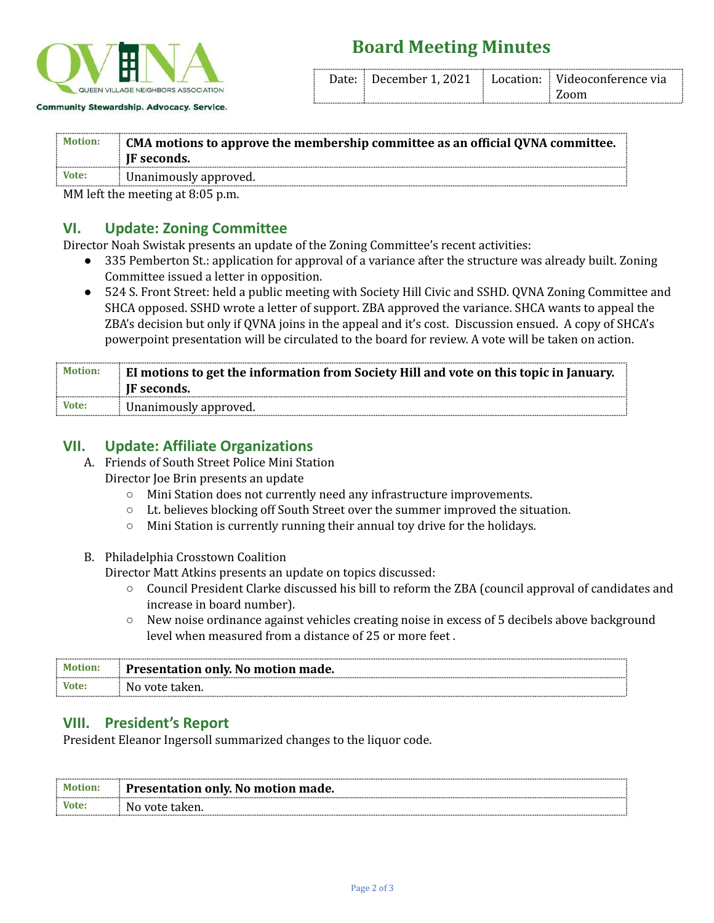

## **Board Meeting Minutes**

|  | Date: December 1, 2021   Location:   Videoconference via |
|--|----------------------------------------------------------|
|  | $\pm$ Zoom                                               |

| : Motion: | CMA motions to approve the membership committee as an official QVNA committee.<br>IF seconds. |
|-----------|-----------------------------------------------------------------------------------------------|
| Vote:     | Unanimously approved.                                                                         |

MM left the meeting at 8:05 p.m.

#### **VI. Update: Zoning Committee**

Director Noah Swistak presents an update of the Zoning Committee's recent activities:

- 335 Pemberton St.: application for approval of a variance after the structure was already built. Zoning Committee issued a letter in opposition.
- 524 S. Front Street: held a public meeting with Society Hill Civic and SSHD. QVNA Zoning Committee and SHCA opposed. SSHD wrote a letter of support. ZBA approved the variance. SHCA wants to appeal the ZBA's decision but only if QVNA joins in the appeal and it's cost. Discussion ensued. A copy of SHCA's powerpoint presentation will be circulated to the board for review. A vote will be taken on action.

| : Motion: | El motions to get the information from Society Hill and vote on this topic in January. |
|-----------|----------------------------------------------------------------------------------------|
|           | <b>IF</b> seconds.                                                                     |
| $:$ Vote: | Unanimously approved.                                                                  |

#### **VII. Update: Affiliate Organizations**

- A. Friends of South Street Police Mini Station
	- Director Joe Brin presents an update
		- Mini Station does not currently need any infrastructure improvements.
		- Lt. believes blocking off South Street over the summer improved the situation.
		- Mini Station is currently running their annual toy drive for the holidays.
- B. Philadelphia Crosstown Coalition

Director Matt Atkins presents an update on topics discussed:

- Council President Clarke discussed his bill to reform the ZBA (council approval of candidates and increase in board number).
- New noise ordinance against vehicles creating noise in excess of 5 decibels above background level when measured from a distance of 25 or more feet .

| : Motion: | Presentation only. No motion made. |
|-----------|------------------------------------|
| Vote:     | No vote taken.                     |

#### **VIII. President's Report**

President Eleanor Ingersoll summarized changes to the liquor code.

| : Motion:   | Presentation only. No motion made. |  |
|-------------|------------------------------------|--|
| : Vote:<br> | . No vote taken.                   |  |